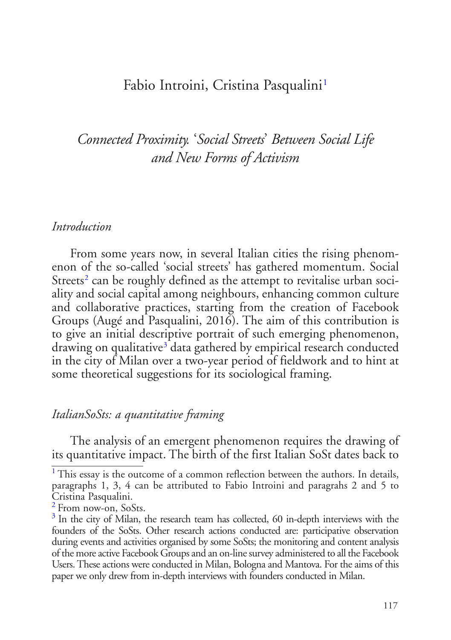# <span id="page-0-3"></span>Fabio Introini, Cristina Pasqualini<sup>[1](#page-0-0)</sup>

*Connected Proximity.* '*Social Streets*' *Between Social Life and New Forms of Activism*

#### *Introduction*

<span id="page-0-4"></span>From some years now, in several Italian cities the rising phenomenon of the so-called 'social streets' has gathered momentum. Social Streets<sup>[2](#page-0-1)</sup> can be roughly defined as the attempt to revitalise urban sociality and social capital among neighbours, enhancing common culture and collaborative practices, starting from the creation of Facebook Groups (Augé and Pasqualini, 2016). The aim of this contribution is to give an initial descriptive portrait of such emerging phenomenon, drawing on qualitative<sup>[3](#page-0-2)</sup> data gathered by empirical research conducted in the city of Milan over a two-year period of fieldwork and to hint at some theoretical suggestions for its sociological framing.

#### <span id="page-0-5"></span>*ItalianSoSts: a quantitative framing*

The analysis of an emergent phenomenon requires the drawing of its quantitative impact. The birth of the first Italian SoSt dates back to

<span id="page-0-0"></span><sup>&</sup>lt;sup>[1](#page-0-3)</sup> This essay is the outcome of a common reflection between the authors. In details, paragraphs 1, 3, 4 can be attributed to Fabio Introini and paragrahs 2 and 5 to Cristina Pasqualini.

<span id="page-0-1"></span>[<sup>2</sup>](#page-0-4) From now-on, SoSts.

<span id="page-0-2"></span> $3$  In the city of Milan, the research team has collected, 60 in-depth interviews with the founders of the SoSts. Other research actions conducted are: participative observation during events and activities organised by some SoSts; the monitoring and content analysis of the more active Facebook Groups and an on-line survey administered to all the Facebook Users. These actions were conducted in Milan, Bologna and Mantova. For the aims of this paper we only drew from in-depth interviews with founders conducted in Milan.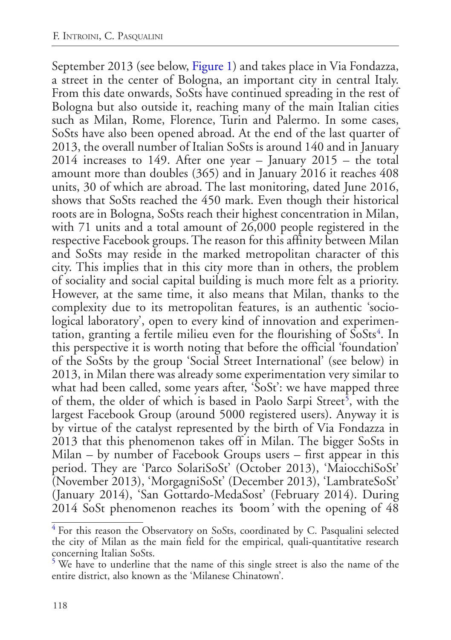<span id="page-1-4"></span>September 2013 (see below, [Figure 1\)](#page-2-0) and takes place in Via Fondazza, a street in the center of Bologna, an important city in central Italy. From this date onwards, SoSts have continued spreading in the rest of Bologna but also outside it, reaching many of the main Italian cities such as Milan, Rome, Florence, Turin and Palermo. In some cases, SoSts have also been opened abroad. At the end of the last quarter of 2013, the overall number of Italian SoSts is around 140 and in January 2014 increases to 149. After one year – January 2015 – the total amount more than doubles (365) and in January 2016 it reaches 408 units, 30 of which are abroad. The last monitoring, dated June 2016, shows that SoSts reached the 450 mark. Even though their historical roots are in Bologna, SoSts reach their highest concentration in Milan, with 71 units and a total amount of 26,000 people registered in the respective Facebook groups. The reason for this affinity between Milan and SoSts may reside in the marked metropolitan character of this city. This implies that in this city more than in others, the problem of sociality and social capital building is much more felt as a priority. However, at the same time, it also means that Milan, thanks to the complexity due to its metropolitan features, is an authentic 'sociological laboratory', open to every kind of innovation and experimen-tation, granting a fertile milieu even for the flourishing of SoSts<sup>[4](#page-1-0)</sup>. In this perspective it is worth noting that before the official 'foundation' of the SoSts by the group 'Social Street International' (see below) in 2013, in Milan there was already some experimentation very similar to what had been called, some years after, 'SoSt': we have mapped three of them, the older of which is based in Paolo Sarpi Street<sup>[5](#page-1-1)</sup>, with the largest Facebook Group (around 5000 registered users). Anyway it is by virtue of the catalyst represented by the birth of Via Fondazza in 2013 that this phenomenon takes off in Milan. The bigger SoSts in Milan – by number of Facebook Groups users – first appear in this period. They are 'Parco SolariSoSt' (October 2013), 'MaiocchiSoSt' (November 2013), 'MorgagniSoSt' (December 2013), 'LambrateSoSt' (January 2014), 'San Gottardo-MedaSost' (February 2014). During 2014 SoSt phenomenon reaches its *'*boom*'* with the opening of 48

<span id="page-1-3"></span><span id="page-1-2"></span><span id="page-1-0"></span><sup>&</sup>lt;sup>[4](#page-1-2)</sup> For this reason the Observatory on SoSts, coordinated by C. Pasqualini selected the city of Milan as the main field for the empirical, quali-quantitative research concerning Italian SoSts.

<span id="page-1-1"></span>[<sup>5</sup>](#page-1-3) We have to underline that the name of this single street is also the name of the entire district, also known as the 'Milanese Chinatown'.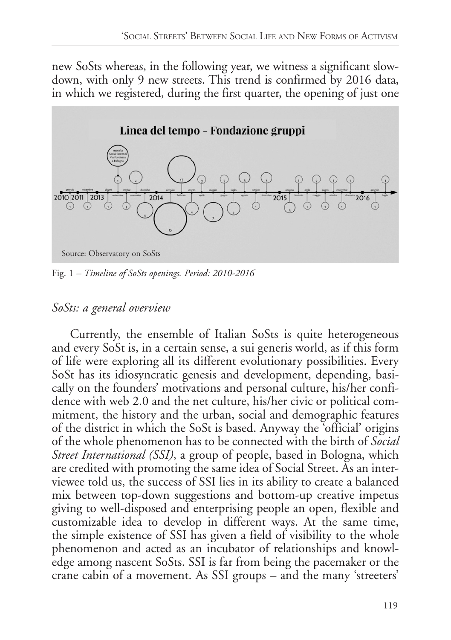new SoSts whereas, in the following year, we witness a significant slowdown, with only 9 new streets. This trend is confirmed by 2016 data, in which we registered, during the first quarter, the opening of just one

<span id="page-2-0"></span>

Fig. 1 *– [Timeline of SoSts openings. Period: 2010-2016](#page-1-4)* 

# *SoSts: a general overview*

Currently, the ensemble of Italian SoSts is quite heterogeneous and every SoSt is, in a certain sense, a sui generis world, as if this form of life were exploring all its different evolutionary possibilities. Every SoSt has its idiosyncratic genesis and development, depending, basically on the founders' motivations and personal culture, his/her confidence with web 2.0 and the net culture, his/her civic or political commitment, the history and the urban, social and demographic features of the district in which the SoSt is based. Anyway the 'official' origins of the whole phenomenon has to be connected with the birth of *Social Street International (SSI)*, a group of people, based in Bologna, which are credited with promoting the same idea of Social Street. As an interviewee told us, the success of SSI lies in its ability to create a balanced mix between top-down suggestions and bottom-up creative impetus giving to well-disposed and enterprising people an open, flexible and customizable idea to develop in different ways. At the same time, the simple existence of SSI has given a field of visibility to the whole phenomenon and acted as an incubator of relationships and knowledge among nascent SoSts. SSI is far from being the pacemaker or the crane cabin of a movement. As SSI groups – and the many 'streeters'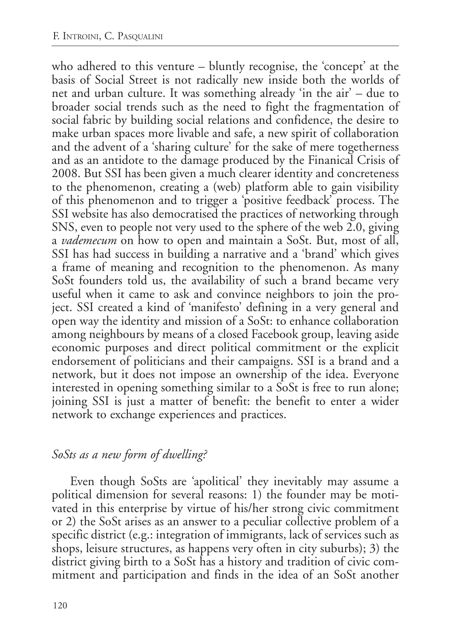who adhered to this venture – bluntly recognise, the 'concept' at the basis of Social Street is not radically new inside both the worlds of net and urban culture. It was something already 'in the air' – due to broader social trends such as the need to fight the fragmentation of social fabric by building social relations and confidence, the desire to make urban spaces more livable and safe, a new spirit of collaboration and the advent of a 'sharing culture' for the sake of mere togetherness and as an antidote to the damage produced by the Finanical Crisis of 2008. But SSI has been given a much clearer identity and concreteness to the phenomenon, creating a (web) platform able to gain visibility of this phenomenon and to trigger a 'positive feedback' process. The SSI website has also democratised the practices of networking through SNS, even to people not very used to the sphere of the web 2.0, giving a *vademecum* on how to open and maintain a SoSt. But, most of all, SSI has had success in building a narrative and a 'brand' which gives a frame of meaning and recognition to the phenomenon. As many SoSt founders told us, the availability of such a brand became very useful when it came to ask and convince neighbors to join the project. SSI created a kind of 'manifesto' defining in a very general and open way the identity and mission of a SoSt: to enhance collaboration among neighbours by means of a closed Facebook group, leaving aside economic purposes and direct political commitment or the explicit endorsement of politicians and their campaigns. SSI is a brand and a network, but it does not impose an ownership of the idea. Everyone interested in opening something similar to a SoSt is free to run alone; joining SSI is just a matter of benefit: the benefit to enter a wider network to exchange experiences and practices.

## *SoSts as a new form of dwelling?*

Even though SoSts are 'apolitical' they inevitably may assume a political dimension for several reasons: 1) the founder may be motivated in this enterprise by virtue of his/her strong civic commitment or 2) the SoSt arises as an answer to a peculiar collective problem of a specific district (e.g.: integration of immigrants, lack of services such as shops, leisure structures, as happens very often in city suburbs); 3) the district giving birth to a SoSt has a history and tradition of civic commitment and participation and finds in the idea of an SoSt another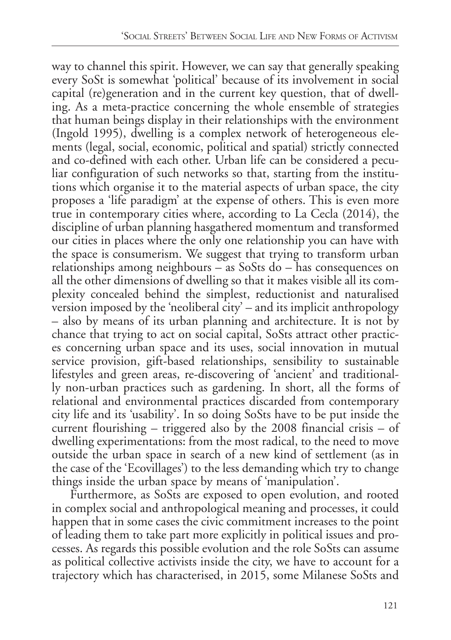way to channel this spirit. However, we can say that generally speaking every SoSt is somewhat 'political' because of its involvement in social capital (re)generation and in the current key question, that of dwelling. As a meta-practice concerning the whole ensemble of strategies that human beings display in their relationships with the environment (Ingold 1995), dwelling is a complex network of heterogeneous elements (legal, social, economic, political and spatial) strictly connected and co-defined with each other. Urban life can be considered a peculiar configuration of such networks so that, starting from the institutions which organise it to the material aspects of urban space, the city proposes a 'life paradigm' at the expense of others. This is even more true in contemporary cities where, according to La Cecla (2014), the discipline of urban planning hasgathered momentum and transformed our cities in places where the only one relationship you can have with the space is consumerism. We suggest that trying to transform urban relationships among neighbours – as SoSts do – has consequences on all the other dimensions of dwelling so that it makes visible all its complexity concealed behind the simplest, reductionist and naturalised version imposed by the 'neoliberal  $\vec{c}$ ty' – and its implicit anthropology – also by means of its urban planning and architecture. It is not by chance that trying to act on social capital, SoSts attract other practices concerning urban space and its uses, social innovation in mutual service provision, gift-based relationships, sensibility to sustainable lifestyles and green areas, re-discovering of 'ancient' and traditionally non-urban practices such as gardening. In short, all the forms of relational and environmental practices discarded from contemporary city life and its 'usability'. In so doing SoSts have to be put inside the current flourishing – triggered also by the 2008 financial crisis – of dwelling experimentations: from the most radical, to the need to move outside the urban space in search of a new kind of settlement (as in the case of the 'Ecovillages') to the less demanding which try to change things inside the urban space by means of 'manipulation'.

Furthermore, as SoSts are exposed to open evolution, and rooted in complex social and anthropological meaning and processes, it could happen that in some cases the civic commitment increases to the point of leading them to take part more explicitly in political issues and processes. As regards this possible evolution and the role SoSts can assume as political collective activists inside the city, we have to account for a trajectory which has characterised, in 2015, some Milanese SoSts and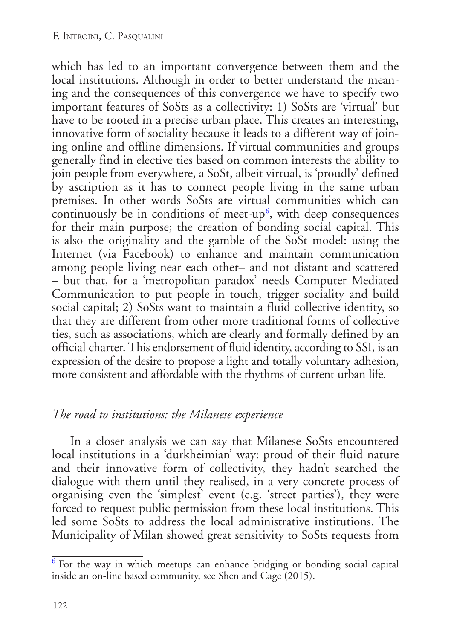<span id="page-5-1"></span>which has led to an important convergence between them and the local institutions. Although in order to better understand the meaning and the consequences of this convergence we have to specify two important features of SoSts as a collectivity: 1) SoSts are 'virtual' but have to be rooted in a precise urban place. This creates an interesting, innovative form of sociality because it leads to a different way of joining online and offline dimensions. If virtual communities and groups generally find in elective ties based on common interests the ability to join people from everywhere, a SoSt, albeit virtual, is 'proudly' defined by ascription as it has to connect people living in the same urban premises. In other words SoSts are virtual communities which can continuously be in conditions of meet-up<sup>[6](#page-5-0)</sup>, with deep consequences for their main purpose; the creation of bonding social capital. This is also the originality and the gamble of the SoSt model: using the Internet (via Facebook) to enhance and maintain communication among people living near each other– and not distant and scattered – but that, for a 'metropolitan paradox' needs Computer Mediated Communication to put people in touch, trigger sociality and build social capital; 2) SoSts want to maintain a fluid collective identity, so that they are different from other more traditional forms of collective ties, such as associations, which are clearly and formally defined by an official charter. This endorsement of fluid identity, according to SSI, is an expression of the desire to propose a light and totally voluntary adhesion, more consistent and affordable with the rhythms of current urban life.

## *The road to institutions: the Milanese experience*

In a closer analysis we can say that Milanese SoSts encountered local institutions in a 'durkheimian' way: proud of their fluid nature and their innovative form of collectivity, they hadn't searched the dialogue with them until they realised, in a very concrete process of organising even the 'simplest' event (e.g. 'street parties'), they were forced to request public permission from these local institutions. This led some SoSts to address the local administrative institutions. The Municipality of Milan showed great sensitivity to SoSts requests from

<span id="page-5-0"></span> $6$  For the way in which meetups can enhance bridging or bonding social capital inside an on-line based community, see Shen and Cage (2015).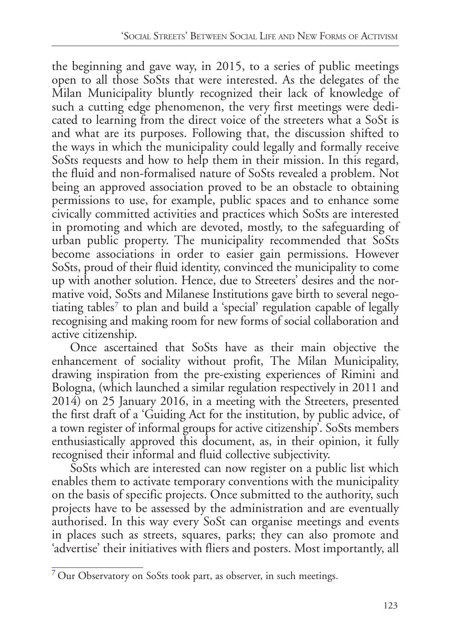the beginning and gave way, in 2015, to a series of public meetings open to all those SoSts that were interested. As the delegates of the Milan Municipality bluntly recognized their lack of knowledge of such a cutting edge phenomenon, the very first meetings were dedicated to learning from the direct voice of the streeters what a SoSt is and what are its purposes. Following that, the discussion shifted to the ways in which the municipality could legally and formally receive SoSts requests and how to help them in their mission. In this regard, the fluid and non-formalised nature of SoSts revealed a problem. Not being an approved association proved to be an obstacle to obtaining permissions to use, for example, public spaces and to enhance some civically committed activities and practices which SoSts are interested in promoting and which are devoted, mostly, to the safeguarding of urban public property. The municipality recommended that SoSts become associations in order to easier gain permissions. However SoSts, proud of their fluid identity, convinced the municipality to come up with another solution. Hence, due to Streeters' desires and the normative void, SoSts and Milanese Institutions gave birth to several nego-tiating tables<sup>[7](#page-6-0)</sup> to plan and build a 'special' regulation capable of legally recognising and making room for new forms of social collaboration and active citizenship.

<span id="page-6-1"></span>Once ascertained that SoSts have as their main objective the enhancement of sociality without profit, The Milan Municipality, drawing inspiration from the pre-existing experiences of Rimini and Bologna, (which launched a similar regulation respectively in 2011 and 2014) on 25 January 2016, in a meeting with the Streeters, presented the first draft of a 'Guiding Act for the institution, by public advice, of a town register of informal groups for active citizenship'. SoSts members enthusiastically approved this document, as, in their opinion, it fully recognised their informal and fluid collective subjectivity.

SoSts which are interested can now register on a public list which enables them to activate temporary conventions with the municipality on the basis of specific projects. Once submitted to the authority, such projects have to be assessed by the administration and are eventually authorised. In this way every SoSt can organise meetings and events in places such as streets, squares, parks; they can also promote and 'advertise' their initiatives with fliers and posters. Most importantly, all

<span id="page-6-0"></span>[<sup>7</sup>](#page-6-1) Our Observatory on SoSts took part, as observer, in such meetings.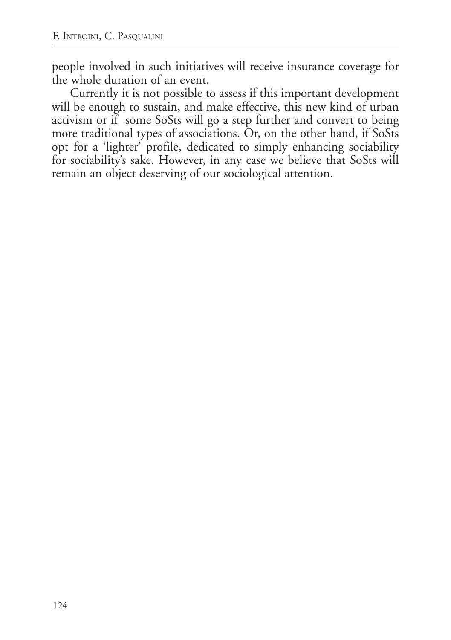people involved in such initiatives will receive insurance coverage for the whole duration of an event.

Currently it is not possible to assess if this important development will be enough to sustain, and make effective, this new kind of urban activism or if some SoSts will go a step further and convert to being more traditional types of associations. Or, on the other hand, if SoSts opt for a 'lighter' profile, dedicated to simply enhancing sociability for sociability's sake. However, in any case we believe that SoSts will remain an object deserving of our sociological attention.